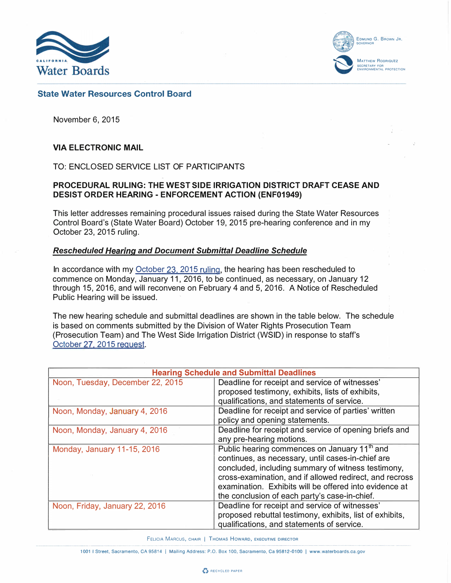



# State Water Resources Control Board

November 6, 2015

# VIA ELECTRONIC MAIL

TO: ENCLOSED SERVICE LIST OF PARTICIPANTS

# PROCEDURAL RULING: THE WEST SIDE IRRIGATION DISTRICT DRAFT CEASE AND DESIST ORDER HEARING- ENFORCEMENT ACTION (ENF01949)

This letter addresses remaining procedural issues raised during the State Water Resources Control Board's (State Water Board) October 19, 2015 pre-hearing conference and in my October 23, 2015 ruling.

### Rescheduled Hearing and Document Submittal Deadline Schedule

In accordance with my [October 23, 2015 ruling](http://www.waterboards.ca.gov/waterrights/water_issues/programs/hearings/westside_irrigation_district/docs/woodscdo_rulingletter102315.pdf), the hearing has been rescheduled to commence on Monday, January 11, 2016, to be continued, as necessary, on January 12 through 15, 2016, and will reconvene on February 4 and 5, 2016. A Notice of Rescheduled Public Hearing will be issued.

The new hearing schedule and submittal deadlines are shown in the table below: The schedule is based on comments submitted by the Division of Water Rights Prosecution Team (Prosecution Team) and The West Side Irrigation District (WSID) in response to staff's [October 27, 2015 request.](http://www.waterboards.ca.gov/waterrights/water_issues/programs/hearings/westside_irrigation_district/docs/wsidcdo_deadlinesemail102715.pdf)

| <b>Hearing Schedule and Submittal Deadlines</b> |                                                          |  |
|-------------------------------------------------|----------------------------------------------------------|--|
| Noon, Tuesday, December 22, 2015                | Deadline for receipt and service of witnesses'           |  |
|                                                 | proposed testimony, exhibits, lists of exhibits,         |  |
|                                                 | qualifications, and statements of service.               |  |
| Noon, Monday, January 4, 2016                   | Deadline for receipt and service of parties' written     |  |
|                                                 | policy and opening statements.                           |  |
| Noon, Monday, January 4, 2016                   | Deadline for receipt and service of opening briefs and   |  |
|                                                 | any pre-hearing motions.                                 |  |
| Monday, January 11-15, 2016                     | Public hearing commences on January 11 <sup>th</sup> and |  |
|                                                 | continues, as necessary, until cases-in-chief are        |  |
|                                                 | concluded, including summary of witness testimony,       |  |
|                                                 | cross-examination, and if allowed redirect, and recross  |  |
|                                                 | examination. Exhibits will be offered into evidence at   |  |
|                                                 | the conclusion of each party's case-in-chief.            |  |
| Noon, Friday, January 22, 2016                  | Deadline for receipt and service of witnesses'           |  |
|                                                 | proposed rebuttal testimony, exhibits, list of exhibits, |  |
|                                                 | qualifications, and statements of service.               |  |

FELICIA MARCUS, CHAIR | THOMAS HOWARD, EXECUTIVE DIRECTOR

1001 I Street, Sacramento, CA 95814 | Mailing Address: P.O. Box 100, Sacramento, Ca 95812-0100 | www.waterboards.ca.gov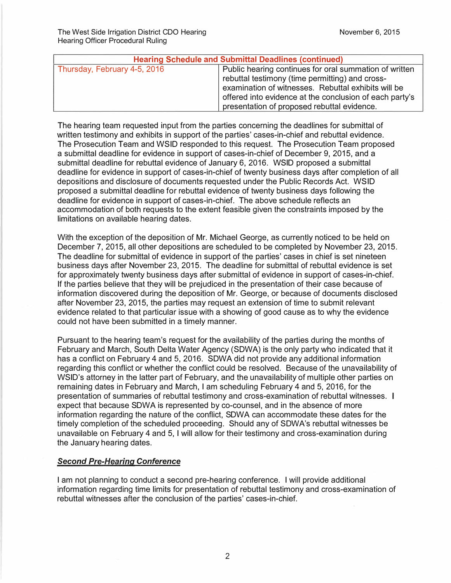| <b>Hearing Schedule and Submittal Deadlines (continued)</b> |                                                                                                                                                                                                                                                                            |  |
|-------------------------------------------------------------|----------------------------------------------------------------------------------------------------------------------------------------------------------------------------------------------------------------------------------------------------------------------------|--|
| Thursday, February 4-5, 2016                                | Public hearing continues for oral summation of written<br>rebuttal testimony (time permitting) and cross-<br>examination of witnesses. Rebuttal exhibits will be<br>offered into evidence at the conclusion of each party's<br>presentation of proposed rebuttal evidence. |  |

The hearing team requested input from the parties concerning the deadlines for submittal of written testimony and exhibits in support of the parties' cases-in-chief and rebuttal evidence. The Prosecution Team and WSID responded to this request. The Prosecution Team proposed a submittal deadline for evidence in support of cases-in-chief of December 9, 2015, and a submittal deadline for rebuttal evidence of January 6, 2016. WSID proposed a submittal deadline for evidence in support of cases-in-chief of twenty business days after completion of all depositions and disclosure of documents requested under the Public Records Act. WSID proposed a submittal deadline for rebuttal evidence of twenty business days following the deadline for evidence in support of cases-in-chief. The above schedule reflects an accommodation of both requests to the extent feasible given the constraints imposed by the limitations on available hearing dates.

With the exception of the deposition of Mr. Michael George, as currently noticed to be held on December 7, 2015, all other depositions are scheduled to be completed by November 23, 2015. The deadline for submittal of evidence in support of the parties' cases in chief is set nineteen business days after November 23; 2015. The deadline for submittal of rebuttal evidence is set for approximately twenty business days after submittal of evidence in support of cases-in-chief. If the parties believe that they will be prejudiced in the presentation of their case because of information discovered during the deposition of Mr. George, or because of documents disclosed after November 23, 2015, the parties may request an extension of time to submit relevant evidence related to that particular issue with a showing of good cause as to why the evidence could not have been submitted in a timely manner.

Pursuant to the hearing team's request for the availability of the parties during the months of February and March, South Delta Water Agency (SDWA) is the only party who indicated that it has a conflict on February 4 and 5, 2016. SDWA did not provide any additional information regarding this conflict or whether the conflict could be resolved. Because of the unavailability of WSID's attorney in the latter part of February, and the unavailability of multiple other parties on remaining dates in February and March, I am scheduling February 4 and 5, 2016, for the presentation of summaries of rebuttal testimony and cross-examination of rebuttal witnesses. expect that because SDWA is represented by co-counsel, and in the absence of more information regarding the nature of the conflict, SDWA can accommodate these dates for the timely completion of the scheduled proceeding. Should any of SDWA's rebuttal witnesses be unavailable on February 4 and 5, I will allow for their testimony and cross-examination during the January hearing dates.

# Second Pre-Hearing Conference

I am not planning to conduct a second pre-hearing conference. I will provide additional information regarding time limits for presentation of rebuttal testimony and cross-examination of rebuttal witnesses after the conclusion of the parties' cases-in-chief.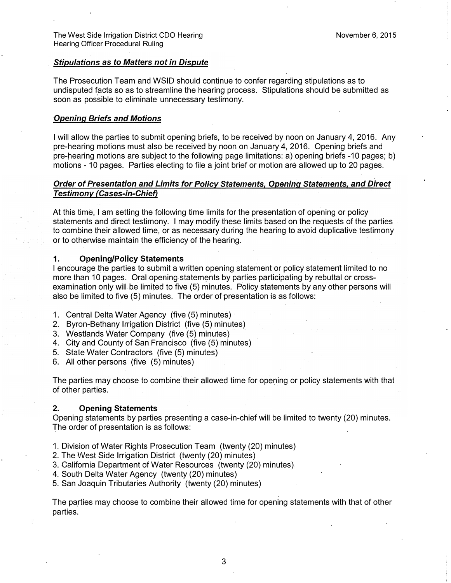### Stipulations as to Matters not in Dispute

The Prosecution Team and WSID should continue to confer regarding stipulations as to undisputed facts so as to streamline the hearing process. Stipulations should be submitted as soon as possible to eliminate unnecessary testimony.

### Opening Briefs and Motions

I will allow the parties to submit opening briefs, to be received by noon on January 4, 2016. Any pre-hearing motions must also be received by noon on January 4, 2016. Opening briefs and pre-hearing motions are subject to the following page limitations: a) opening briefs -10 pages; b) motions - 10 pages. Parties electing to file a joint brief or motion are allowed up to 20 pages.

# Order of Presentation and Limits for Policy Statements, Opening Statements, and Direct Testimony (Cases-in-Chief)

At this time, I am setting the following time limits for the presentation of opening or policy statements and direct testimony. I may modify these limits based on the requests of the parties to combine their allowed time, or as necessary during the hearing to avoid duplicative testimony or to otherwise maintain the efficiency of the hearing.

### 1. Opening/Policy Statements

I encourage the parties to submit a written opening statement or policy statement limited to no more than 10 pages. Oral opening statements by parties participating by rebuttal or crossexamination only will be limited to five (5) minutes. Policy statements by any other persons will also be limited to five (5) minutes. The order of presentation is as follows:

- 1. Central Delta Water Agency (five (5) minutes)
- 2. Byron-Bethany Irrigation District (five (5) minutes) ·
- 3. Westlands Water Company (five (5) minutes)
- 4. City and County of San Francisco (five (5) minutes)
- 5. State Water Contractors (five (5) minutes)
- 6. All other persons (five (5) minutes)

The parties may choose to combine their allowed time for opening or policy statements with that of other parties.

#### 2. Opening Statements

Opening statements by parties presenting a case-in-chief will be limited to twenty (20) minutes. The order of presentation is as follows:

- t. Division of Water Rights Prosecution Team (twenty (20) minutes)
- 2. The West Side Irrigation District (twenty (20) minutes)
- 3. California Department of Water Resources (twenty (20) minutes).
- 4. South Delta Water Agency (twenty (20) minutes)
- 5. San Joaquin Tributaries Authority (twenty (20) minutes)

The parties may choose to combine their allowed time for opening statements with that of other parties.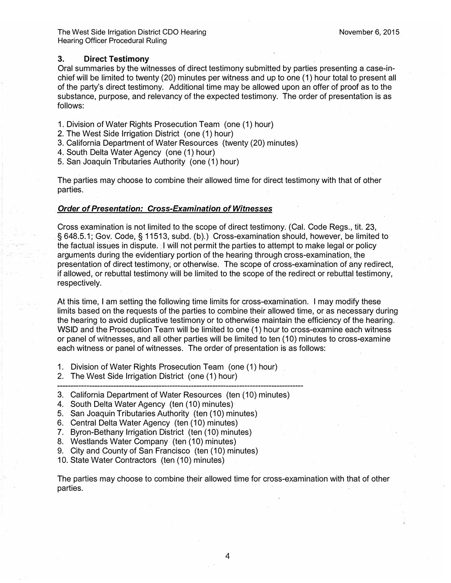### 3. Direct Testimony

Oral summaries by the witnesses of direct testimony submitted by parties presenting a case-inchief will be limited to twenty (20) minutes per witness and up to one (1) hour total to present all of the party's direct testimony. Additional time may be allowed upon an offer of proof as to the substance, purpose, and relevancy of the expected testimony. The order of presentation is as follows:

- 1. Division of Water Rights Prosecution Team (one ( 1) hour)
- 2. The West Side Irrigation District (one (1) hour)
- 3. California Department of Water Resources (twenty (20) minutes)
- 4. South Delta Water Agency (one (1) hour)
- 5. San Joaquin Tributaries Authority (one (1) hour)

The parties may choose to combine their allowed time for direct testimony with that of other parties.

### . Order of Presentation: Cross-Examination of Witnesses

Cross examination is not limited to. the scope of direct testimony. (Cal. Code Regs., tit. 23, § 648.5,1; Gov. Code, § 11513, subd. (b).) Cross-examination should, however, be limited to the factual issues in dispute. I will not permit the parties to attempt to make legal or policy arguments during the evidentiary portion of the hearing through cross-examination, the presentation of direct testimony; or otherwise. The scope of cross-examination of any redirect, if allowed, or rebuttal testimony will be limited to the scope of the redirect or rebuttal testimony, respectively.

At this time, I am setting the following time limits for cross-examination. I may modify these limits based on the requests of the parties to combine their allowed time, or as necessary during the hearing to avoid duplicative testimony or to otherwise maintain the efficiency of the hearing. WSID and the Prosecution Team Will be limited to one (1) hour to cross-examine each witness or panel of witnesses, and all other parties will be limited to ten (10) minutes to cross-examine each witness or panel of witnesses. The order of presentation is as follows:

- 1. Division of Water Rights Prosecution Team (one (1) hour)
- 2. The West Side Irrigation District (one (1) hour)
- 3. California Department of Water Resources (ten (10) minutes)
- 4. South Delta Water Agency (ten (10) minutes)
- 5. San Joaquin Tributaries Authority (ten (10) minutes)
- 6. Central Delta Water Agency (ten (10) minutes)
- 7. Byron-Bethany Irrigation District (ten (10) minutes)
- 8. Westlands Water Company (ten (10) minutes)
- 9. City and County of San Francisco (ten (10) minutes)
- 10. State Water Contractors (ten (10) minutes)

The parties may choose to combine their allowed time for cross-examination with that of other parties.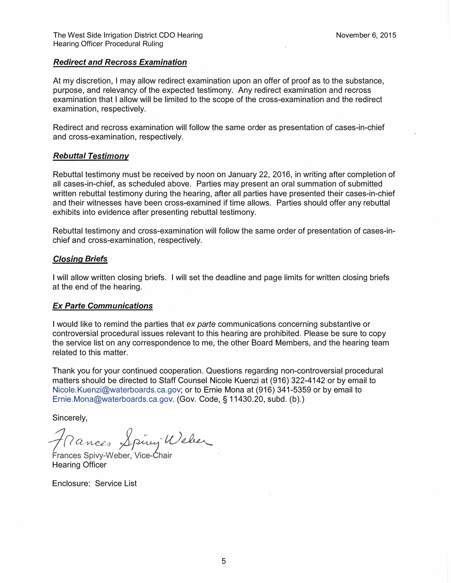# Redirect and Recross Examination

At my discretion, I may allow redirect examination upon an offer of proof as to the substance, purpose, and relevancy of the expected testimony. Any redirect examination and recross examination that I allow will be limited to the scope of the cross-examination and the redirect examination, respectively.

Redirect and recross examination will follow the same order as presentation of cases-in-chief and cross-examination, respectively.

### Rebuttal Testimony

Rebuttal testimony must be received by noon on January 22, 2016, in writing after completion of all cases-in-chief, as scheduled above. Parties may present an oral summation of submitted written rebuttal testimony during the hearing, after all parties have presented their cases-in-chief and their witnesses have been cross-examined if time allows. Parties should offer any rebuttal exhibits into evidence after presenting rebuttal testimony.

Rebuttal testimony and cross-examination will follow the same order of presentation of cases-inchief and cross-examination, respectively.

#### Closing Briefs

I will allow written closing briefs. I will set the deadline and page limits for written closing briefs at the end of the hearing.

#### Ex Parte Communications

I would like to remind the parties that ex parte communications concerning substantive or controversial procedural issues relevant to this hearing are prohibited. Please be sure to copy the service list on any correspondence to me, the other Board Members, and the hearing team related to this matter.

Thank you for your continued cooperation. Questions regarding non-controversial procedural matters should be directed to Staff Counsel Nicole Kuenzi at (916) 322-4142 or by email to Nicole.Kuenzi@waterboards.ca.gov; or to Ernie Mona at (916) 341-5359 or by email to Ernie.Mona@waterboards.ca.gov. (Gov. Code, § 11430.20, subd. (b).)

Sincerely,

Frances Sping Weber

Hearing Officer

Enclosure: Service List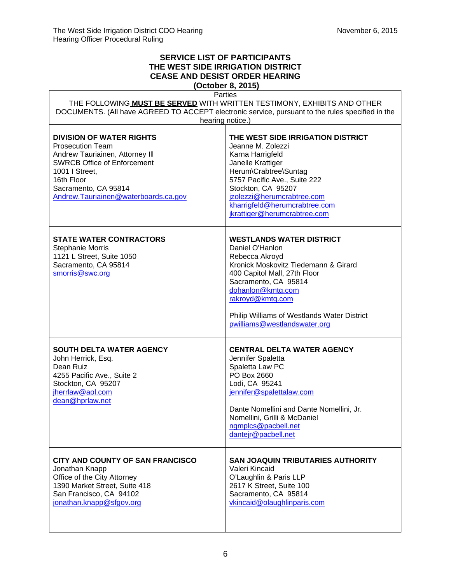٦

 $\mathsf{r}$ 

# **SERVICE LIST OF PARTICIPANTS THE WEST SIDE IRRIGATION DISTRICT CEASE AND DESIST ORDER HEARING**

**(October 8, 2015)**

| Parties<br>THE FOLLOWING MUST BE SERVED WITH WRITTEN TESTIMONY, EXHIBITS AND OTHER<br>DOCUMENTS. (All have AGREED TO ACCEPT electronic service, pursuant to the rules specified in the                                              |                                                                                                                                                                                                                                                                                              |  |
|-------------------------------------------------------------------------------------------------------------------------------------------------------------------------------------------------------------------------------------|----------------------------------------------------------------------------------------------------------------------------------------------------------------------------------------------------------------------------------------------------------------------------------------------|--|
| hearing notice.)                                                                                                                                                                                                                    |                                                                                                                                                                                                                                                                                              |  |
| <b>DIVISION OF WATER RIGHTS</b><br><b>Prosecution Team</b><br>Andrew Tauriainen, Attorney III<br><b>SWRCB Office of Enforcement</b><br>1001   Street,<br>16th Floor<br>Sacramento, CA 95814<br>Andrew.Tauriainen@waterboards.ca.gov | THE WEST SIDE IRRIGATION DISTRICT<br>Jeanne M. Zolezzi<br>Karna Harrigfeld<br>Janelle Krattiger<br>Herum\Crabtree\Suntag<br>5757 Pacific Ave., Suite 222<br>Stockton, CA 95207<br>jzolezzi@herumcrabtree.com<br>kharrigfeld@herumcrabtree.com<br>jkrattiger@herumcrabtree.com                |  |
| <b>STATE WATER CONTRACTORS</b><br><b>Stephanie Morris</b><br>1121 L Street, Suite 1050<br>Sacramento, CA 95814<br>smorris@swc.org                                                                                                   | <b>WESTLANDS WATER DISTRICT</b><br>Daniel O'Hanlon<br>Rebecca Akroyd<br>Kronick Moskovitz Tiedemann & Girard<br>400 Capitol Mall, 27th Floor<br>Sacramento, CA 95814<br>dohanlon@kmtg.com<br>rakroyd@kmtg.com<br>Philip Williams of Westlands Water District<br>pwilliams@westlandswater.org |  |
| <b>SOUTH DELTA WATER AGENCY</b><br>John Herrick, Esq.<br>Dean Ruiz<br>4255 Pacific Ave., Suite 2<br>Stockton, CA 95207<br>jherrlaw@aol.com<br>dean@hprlaw.net                                                                       | <b>CENTRAL DELTA WATER AGENCY</b><br>Jennifer Spaletta<br>Spaletta Law PC<br>PO Box 2660<br>Lodi, CA 95241<br>jennifer@spalettalaw.com<br>Dante Nomellini and Dante Nomellini, Jr.<br>Nomellini, Grilli & McDaniel<br>ngmplcs@pacbell.net<br>dantejr@pacbell.net                             |  |
| CITY AND COUNTY OF SAN FRANCISCO<br>Jonathan Knapp<br>Office of the City Attorney<br>1390 Market Street, Suite 418<br>San Francisco, CA 94102<br>jonathan.knapp@sfgov.org                                                           | <b>SAN JOAQUIN TRIBUTARIES AUTHORITY</b><br>Valeri Kincaid<br>O'Laughlin & Paris LLP<br>2617 K Street, Suite 100<br>Sacramento, CA 95814<br>vkincaid@olaughlinparis.com                                                                                                                      |  |